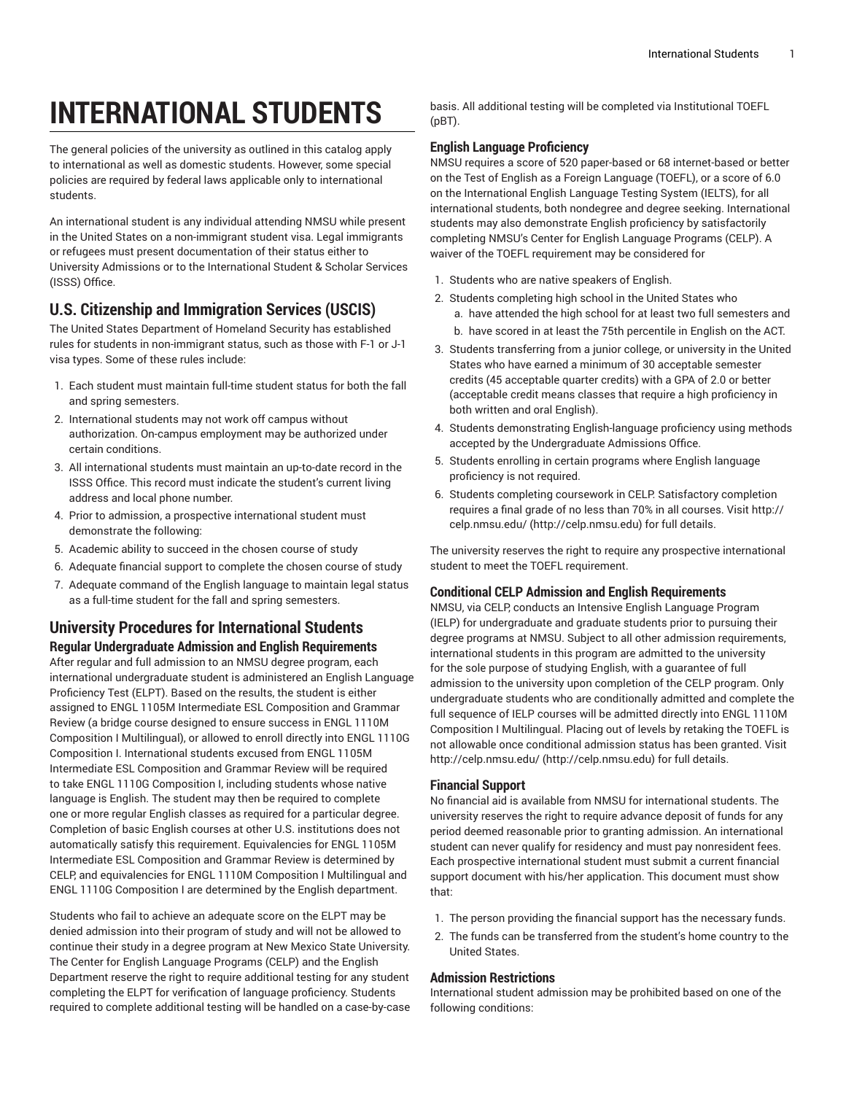# **INTERNATIONAL STUDENTS**

The general policies of the university as outlined in this catalog apply to international as well as domestic students. However, some special policies are required by federal laws applicable only to international students.

An international student is any individual attending NMSU while present in the United States on a non-immigrant student visa. Legal immigrants or refugees must present documentation of their status either to University Admissions or to the International Student & Scholar Services (ISSS) Office.

# **U.S. Citizenship and Immigration Services (USCIS)**

The United States Department of Homeland Security has established rules for students in non-immigrant status, such as those with F-1 or J-1 visa types. Some of these rules include:

- 1. Each student must maintain full-time student status for both the fall and spring semesters.
- 2. International students may not work off campus without authorization. On-campus employment may be authorized under certain conditions.
- 3. All international students must maintain an up-to-date record in the ISSS Office. This record must indicate the student's current living address and local phone number.
- 4. Prior to admission, a prospective international student must demonstrate the following:
- 5. Academic ability to succeed in the chosen course of study
- 6. Adequate financial support to complete the chosen course of study
- 7. Adequate command of the English language to maintain legal status as a full-time student for the fall and spring semesters.

# **University Procedures for International Students Regular Undergraduate Admission and English Requirements**

After regular and full admission to an NMSU degree program, each international undergraduate student is administered an English Language Proficiency Test (ELPT). Based on the results, the student is either assigned to ENGL 1105M Intermediate ESL Composition and Grammar Review (a bridge course designed to ensure success in ENGL 1110M Composition I Multilingual), or allowed to enroll directly into ENGL 1110G Composition I. International students excused from ENGL 1105M Intermediate ESL Composition and Grammar Review will be required to take ENGL 1110G Composition I, including students whose native language is English. The student may then be required to complete one or more regular English classes as required for a particular degree. Completion of basic English courses at other U.S. institutions does not automatically satisfy this requirement. Equivalencies for ENGL 1105M Intermediate ESL Composition and Grammar Review is determined by CELP, and equivalencies for ENGL 1110M Composition I Multilingual and ENGL 1110G Composition I are determined by the English department.

Students who fail to achieve an adequate score on the ELPT may be denied admission into their program of study and will not be allowed to continue their study in a degree program at New Mexico State University. The Center for English Language Programs (CELP) and the English Department reserve the right to require additional testing for any student completing the ELPT for verification of language proficiency. Students required to complete additional testing will be handled on a case-by-case basis. All additional testing will be completed via Institutional TOEFL (pBT).

## **English Language Proficiency**

NMSU requires a score of 520 paper-based or 68 internet-based or better on the Test of English as a Foreign Language (TOEFL), or a score of 6.0 on the International English Language Testing System (IELTS), for all international students, both nondegree and degree seeking. International students may also demonstrate English proficiency by satisfactorily completing NMSU's Center for English Language Programs (CELP). A waiver of the TOEFL requirement may be considered for

- 1. Students who are native speakers of English.
- 2. Students completing high school in the United States who a. have attended the high school for at least two full semesters and
	- b. have scored in at least the 75th percentile in English on the ACT.
- 3. Students transferring from a junior college, or university in the United States who have earned a minimum of 30 acceptable semester credits (45 acceptable quarter credits) with a GPA of 2.0 or better (acceptable credit means classes that require a high proficiency in both written and oral English).
- 4. Students demonstrating English-language proficiency using methods accepted by the Undergraduate Admissions Office.
- 5. Students enrolling in certain programs where English language proficiency is not required.
- 6. Students completing coursework in CELP. Satisfactory completion requires a final grade of no less than 70% in all courses. Visit [http://](http://celp.nmsu.edu) [celp.nmsu.edu/ \(http://celp.nmsu.edu](http://celp.nmsu.edu)) for full details.

The university reserves the right to require any prospective international student to meet the TOEFL requirement.

#### **Conditional CELP Admission and English Requirements**

NMSU, via CELP, conducts an Intensive English Language Program (IELP) for undergraduate and graduate students prior to pursuing their degree programs at NMSU. Subject to all other admission requirements, international students in this program are admitted to the university for the sole purpose of studying English, with a guarantee of full admission to the university upon completion of the CELP program. Only undergraduate students who are conditionally admitted and complete the full sequence of IELP courses will be admitted directly into ENGL 1110M Composition I Multilingual. Placing out of levels by retaking the TOEFL is not allowable once conditional admission status has been granted. Visit [http://celp.nmsu.edu/ \(http://celp.nmsu.edu\)](http://celp.nmsu.edu) for full details.

#### **Financial Support**

No financial aid is available from NMSU for international students. The university reserves the right to require advance deposit of funds for any period deemed reasonable prior to granting admission. An international student can never qualify for residency and must pay nonresident fees. Each prospective international student must submit a current financial support document with his/her application. This document must show that:

- 1. The person providing the financial support has the necessary funds.
- 2. The funds can be transferred from the student's home country to the United States.

#### **Admission Restrictions**

International student admission may be prohibited based on one of the following conditions: